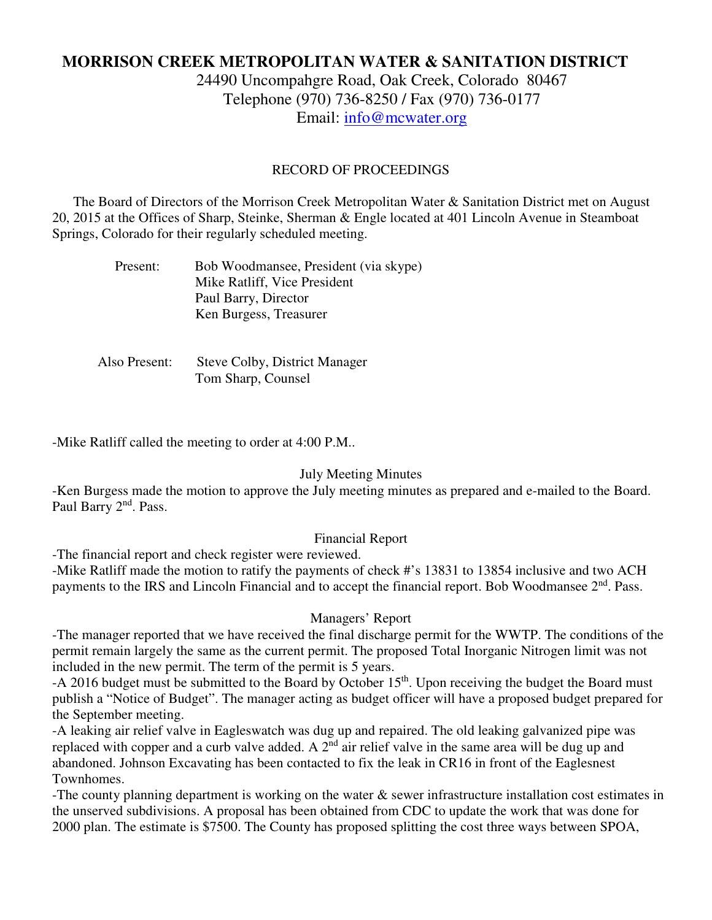# **MORRISON CREEK METROPOLITAN WATER & SANITATION DISTRICT**

24490 Uncompahgre Road, Oak Creek, Colorado 80467 Telephone (970) 736-8250 / Fax (970) 736-0177 Email: info@mcwater.org

#### RECORD OF PROCEEDINGS

 The Board of Directors of the Morrison Creek Metropolitan Water & Sanitation District met on August 20, 2015 at the Offices of Sharp, Steinke, Sherman & Engle located at 401 Lincoln Avenue in Steamboat Springs, Colorado for their regularly scheduled meeting.

| Present: | Bob Woodmansee, President (via skype) |
|----------|---------------------------------------|
|          | Mike Ratliff, Vice President          |
|          | Paul Barry, Director                  |
|          | Ken Burgess, Treasurer                |

 Also Present: Steve Colby, District Manager Tom Sharp, Counsel

-Mike Ratliff called the meeting to order at 4:00 P.M..

#### July Meeting Minutes

-Ken Burgess made the motion to approve the July meeting minutes as prepared and e-mailed to the Board. Paul Barry 2<sup>nd</sup>. Pass.

### Financial Report

-The financial report and check register were reviewed.

-Mike Ratliff made the motion to ratify the payments of check #'s 13831 to 13854 inclusive and two ACH payments to the IRS and Lincoln Financial and to accept the financial report. Bob Woodmansee 2<sup>nd</sup>. Pass.

#### Managers' Report

-The manager reported that we have received the final discharge permit for the WWTP. The conditions of the permit remain largely the same as the current permit. The proposed Total Inorganic Nitrogen limit was not included in the new permit. The term of the permit is 5 years.

-A 2016 budget must be submitted to the Board by October  $15<sup>th</sup>$ . Upon receiving the budget the Board must publish a "Notice of Budget". The manager acting as budget officer will have a proposed budget prepared for the September meeting.

-A leaking air relief valve in Eagleswatch was dug up and repaired. The old leaking galvanized pipe was replaced with copper and a curb valve added. A 2<sup>nd</sup> air relief valve in the same area will be dug up and abandoned. Johnson Excavating has been contacted to fix the leak in CR16 in front of the Eaglesnest Townhomes.

-The county planning department is working on the water & sewer infrastructure installation cost estimates in the unserved subdivisions. A proposal has been obtained from CDC to update the work that was done for 2000 plan. The estimate is \$7500. The County has proposed splitting the cost three ways between SPOA,